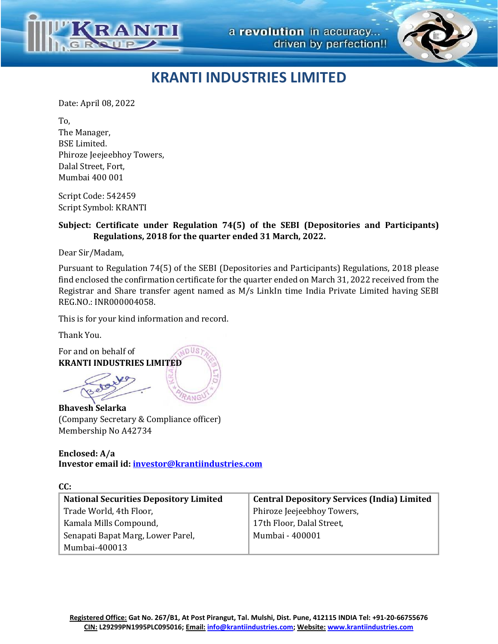



## **KRANTI INDUSTRIES LIMITED**

Date: April 08, 2022

To, The Manager, BSE Limited. Phiroze Jeejeebhoy Towers, Dalal Street, Fort, Mumbai 400 001

Script Code: 542459 Script Symbol: KRANTI

## **Subject: Certificate under Regulation 74(5) of the SEBI (Depositories and Participants) Regulations, 2018 for the quarter ended 31 March, 2022.**

Dear Sir/Madam,

Pursuant to Regulation 74(5) of the SEBI (Depositories and Participants) Regulations, 2018 please find enclosed the confirmation certificate for the quarter ended on March 31, 2022 received from the Registrar and Share transfer agent named as M/s LinkIn time India Private Limited having SEBI REG.NO.: INR000004058.

This is for your kind information and record.

Thank You.

For and on behalf of **KRANTI INDUSTRIES LIMITED**

**Bhavesh Selarka** (Company Secretary & Compliance officer) Membership No A42734

**Enclosed: A/a Investor email id[: investor@krantiindustries.com](mailto:investor@krantiindustries.com)**

| CC:                                           |  |                                                    |
|-----------------------------------------------|--|----------------------------------------------------|
| <b>National Securities Depository Limited</b> |  | <b>Central Depository Services (India) Limited</b> |
| Trade World, 4th Floor,                       |  | Phiroze Jeejeebhoy Towers,                         |
| Kamala Mills Compound,                        |  | 17th Floor, Dalal Street,                          |
| Senapati Bapat Marg, Lower Parel,             |  | Mumbai - 400001                                    |
| Mumbai-400013                                 |  |                                                    |